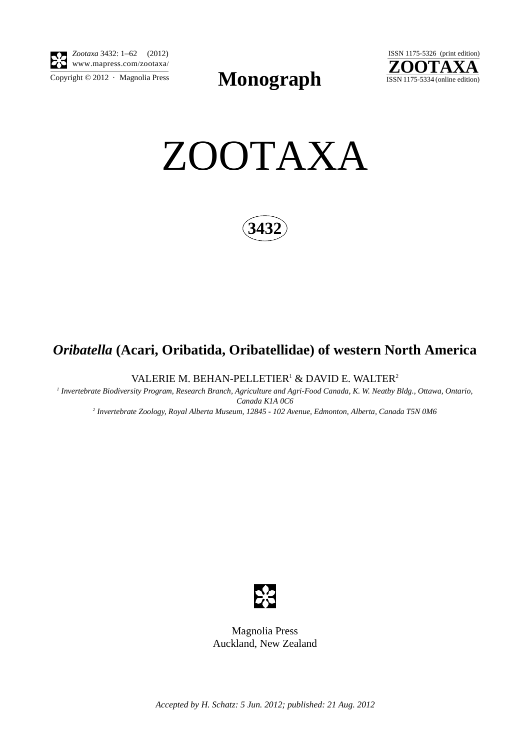

 $\frac{1}{\text{Copyright © }2012 \cdot \text{ Magnolia Press}}$  **Monograph**  $\frac{1}{\text{ISSN 1175-5334 (online edition)}}$ 





**3432**

# *Oribatella* **(Acari, Oribatida, Oribatellidae) of western North America**

VALERIE M. BEHAN-PELLETIER $^1$  & DAVID E. WALTER $^2$ 

*1 Invertebrate Biodiversity Program, Research Branch, Agriculture and Agri-Food Canada, K. W. Neatby Bldg., Ottawa, Ontario, Canada K1A 0C6*

*2 Invertebrate Zoology, Royal Alberta Museum, 12845 - 102 Avenue, Edmonton, Alberta, Canada T5N 0M6*



Magnolia Press Auckland, New Zealand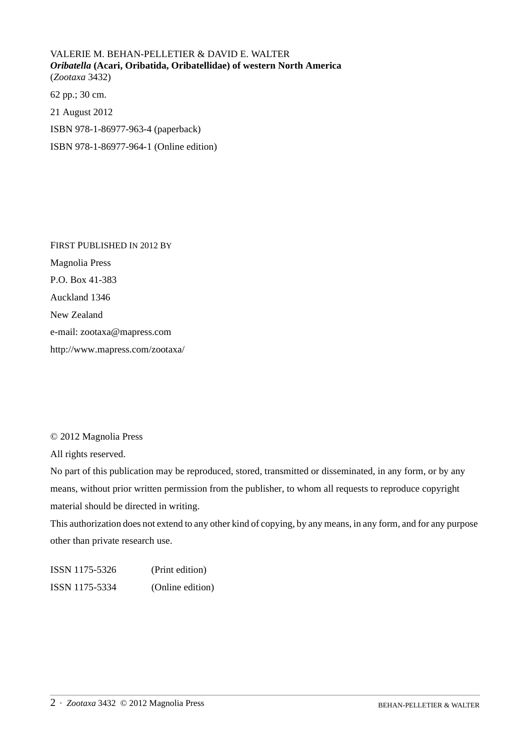VALERIE M. BEHAN-PELLETIER & DAVID E. WALTER *Oribatella* **(Acari, Oribatida, Oribatellidae) of western North America** (*Zootaxa* 3432)

62 pp.; 30 cm. 21 August 2012 ISBN 978-1-86977-963-4 (paperback) ISBN 978-1-86977-964-1 (Online edition)

FIRST PUBLISHED IN 2012 BY Magnolia Press P.O. Box 41-383 Auckland 1346 New Zealand e-mail: zootaxa@mapress.com http://www.mapress.com/zootaxa/

## © 2012 Magnolia Press

All rights reserved.

No part of this publication may be reproduced, stored, transmitted or disseminated, in any form, or by any means, without prior written permission from the publisher, to whom all requests to reproduce copyright material should be directed in writing.

This authorization does not extend to any other kind of copying, by any means, in any form, and for any purpose other than private research use.

ISSN 1175-5326 (Print edition) ISSN 1175-5334 (Online edition)